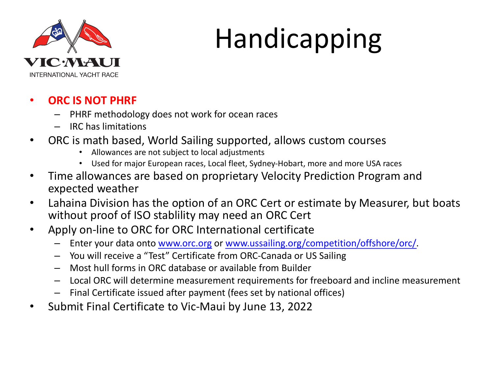

# Handicapping

#### • **ORC IS NOT PHRF**

- PHRF methodology does not work for ocean races
- IRC has limitations

#### • ORC is math based, World Sailing supported, allows custom courses

- Allowances are not subject to local adjustments
- Used for major European races, Local fleet, Sydney-Hobart, more and more USA races
- Time allowances are based on proprietary Velocity Prediction Program and expected weather
- Lahaina Division has the option of an ORC Cert or estimate by Measurer, b without proof of ISO stablility may need an ORC Cert
- Apply on-line to ORC for ORC International certificate
	- Enter your data onto www.orc.org or www.ussailing.org/competition/offshore/orc/.
	- You will receive a "Test" Certificate from ORC-Canada or US Sailing
	- Most hull forms in ORC database or available from Builder
	- Local ORC will determine measurement requirements for freeboard and incline mea
	- Final Certificate issued after payment (fees set by national offices)
- Submit Final Certificate to Vic-Maui by June 13, 2022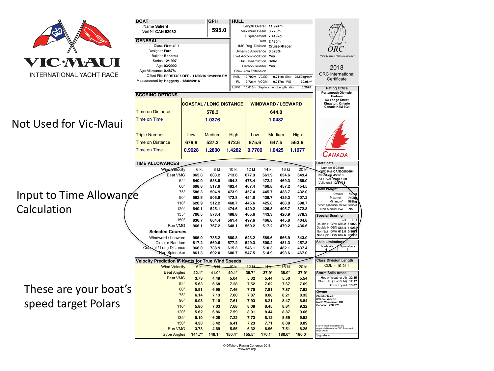

#### Not Used for Vic-Maui

Input to Time Allowang Calculation

These are your boat's speed target Polars

|  | <b>BOAT</b><br><b>GPH</b><br>Name Salient                               |                                          |                                              | <b>HULL</b><br>Length Overall 11.924m                                                    |                                   |                                                  |                                     |                                  |                                                                                       |  |  |
|--|-------------------------------------------------------------------------|------------------------------------------|----------------------------------------------|------------------------------------------------------------------------------------------|-----------------------------------|--------------------------------------------------|-------------------------------------|----------------------------------|---------------------------------------------------------------------------------------|--|--|
|  | Sail Nr CAN 52082                                                       | 595.0                                    |                                              | Maximum Beam 3.770m                                                                      |                                   |                                                  |                                     |                                  |                                                                                       |  |  |
|  |                                                                         |                                          |                                              |                                                                                          | Displacement 7.419kg              |                                                  |                                     |                                  |                                                                                       |  |  |
|  | <b>GENERAL</b>                                                          |                                          |                                              |                                                                                          | Draft 2.430m                      |                                                  |                                     |                                  |                                                                                       |  |  |
|  | Class First 40.7                                                        |                                          |                                              |                                                                                          |                                   | IMS Reg. Division Cruiser/Racer                  |                                     |                                  |                                                                                       |  |  |
|  | Designer Farr                                                           |                                          |                                              |                                                                                          | Dynamic Allowance 0.028%          |                                                  |                                     |                                  | World Leader in Rating Technology                                                     |  |  |
|  | Series 12/1997                                                          | <b>Builder Benetau</b>                   |                                              |                                                                                          |                                   | Fwd Accommodation Yes<br>Hull Construction Solid |                                     |                                  |                                                                                       |  |  |
|  | Age 03/2002                                                             |                                          |                                              |                                                                                          | Carbon Rudder Yes                 |                                                  |                                     |                                  |                                                                                       |  |  |
|  | Age Allowance 0.487%<br>Offset File EFRST407.OFF - 11/26/16 12:39:28 PM |                                          |                                              | <b>Crew Arm Extension</b><br><b>IMSI</b><br>10.700m VCGD<br>$-0.211m$ Sink<br>22.59kg/mm |                                   |                                                  |                                     | 2018<br><b>ORC</b> International |                                                                                       |  |  |
|  |                                                                         |                                          |                                              |                                                                                          |                                   |                                                  |                                     |                                  |                                                                                       |  |  |
|  | Measurement by Haggerty - 13/02/2016                                    |                                          | R <sub>1</sub><br>9.721m VCGM<br>$0.017m$ WS |                                                                                          |                                   |                                                  | 30.08m <sup>2</sup>                 | Certificate                      |                                                                                       |  |  |
|  |                                                                         |                                          |                                              | LSM0                                                                                     | 10.615m Displacement/Length ratio | <b>Rating Office</b>                             |                                     |                                  |                                                                                       |  |  |
|  | <b>SCORING OPTIONS</b>                                                  |                                          |                                              |                                                                                          |                                   |                                                  |                                     |                                  |                                                                                       |  |  |
|  |                                                                         |                                          |                                              |                                                                                          |                                   |                                                  |                                     | Harbour<br>53 Yonge Street       |                                                                                       |  |  |
|  |                                                                         | <b>COASTAL / LONG DISTANCE</b>           |                                              | <b>WINDWARD / LEEWARD</b>                                                                |                                   |                                                  | Kingston, Ontario<br>Canada K7M 6G4 |                                  |                                                                                       |  |  |
|  | <b>Time on Distance</b>                                                 |                                          | 578.3                                        |                                                                                          | 644.0                             |                                                  |                                     |                                  |                                                                                       |  |  |
|  |                                                                         | 1.0376                                   |                                              | 1.0482                                                                                   |                                   |                                                  |                                     |                                  |                                                                                       |  |  |
|  | <b>Time on Time</b>                                                     |                                          |                                              |                                                                                          |                                   |                                                  |                                     |                                  |                                                                                       |  |  |
|  |                                                                         |                                          |                                              |                                                                                          |                                   |                                                  |                                     |                                  |                                                                                       |  |  |
|  | <b>Triple Number</b><br>Low                                             |                                          | Medium<br>High                               |                                                                                          | Low<br>Medium<br>High             |                                                  |                                     |                                  |                                                                                       |  |  |
|  |                                                                         |                                          |                                              |                                                                                          |                                   |                                                  |                                     |                                  |                                                                                       |  |  |
|  | <b>Time on Distance</b>                                                 | 679.9                                    | 527.3                                        | 472.6                                                                                    | 875.6                             | 647.5                                            |                                     | 563.6                            |                                                                                       |  |  |
|  | <b>Time on Time</b>                                                     | 0.9928                                   | 1.2800                                       | 1.4282                                                                                   | 0.7709                            | 1.0425                                           |                                     | 1.1977                           |                                                                                       |  |  |
|  |                                                                         |                                          |                                              |                                                                                          |                                   |                                                  |                                     | CANADA                           |                                                                                       |  |  |
|  | <b>TIME ALLOWANCES</b>                                                  |                                          |                                              |                                                                                          |                                   |                                                  | <b>Certificate</b>                  |                                  |                                                                                       |  |  |
|  | Wind Velocity                                                           | 6 kt                                     | 8 kt                                         | 10 kt                                                                                    | 12 kt                             | 14 kt                                            | 16 kt                               | 20 kt                            | Number BC8001                                                                         |  |  |
|  | <b>Beat VMG</b>                                                         | 965.8                                    | 803.2                                        | 713.6                                                                                    | 677.3                             | 661.9                                            | 654.6                               | 649.4                            | RC Ref CAN00000604<br>Issued On 4/29/18                                               |  |  |
|  |                                                                         | $52^\circ$<br>640.0                      | 538.8                                        | 494.3                                                                                    | 478.4                             | 472.4                                            | 469.3                               | 468.0                            | VPP Ver. 2018 1.00<br>Valid until 12/31/18                                            |  |  |
|  |                                                                         | $60^\circ$<br>608.8                      | 517.9                                        | 482.4                                                                                    | 467.4                             | 460.8                                            | 457.2                               | 454.5                            |                                                                                       |  |  |
|  |                                                                         | $75^\circ$<br>586.3                      | 504.9                                        | 473.9                                                                                    | 457.4                             | 445.7                                            | 438.7                               | 432.0                            | <b>Crew Weight</b><br>Default<br>749<br>٤g                                            |  |  |
|  |                                                                         | $90^\circ$<br>592.5                      | 506.8                                        | 472.8                                                                                    | 454.0                             | 438.7                                            | 425.2                               | 407.2                            | Maximum<br>749kg                                                                      |  |  |
|  |                                                                         | $110^\circ$<br>620.9                     | 512.2                                        | 468.7                                                                                    | 445.6                             | 425.8                                            | 408.8                               | 390.7                            | Minimum*<br>562kg<br>"when applied by the NoR and SI                                  |  |  |
|  |                                                                         | $120^\circ$<br>640.1                     | 525.1                                        | 474.6                                                                                    | 449.2                             | 426.8                                            | 405.7                               | 372.8                            | Non Manual Pwr<br><b>No</b>                                                           |  |  |
|  |                                                                         | $135^\circ$<br>706.5                     | 573.4                                        | 498.8                                                                                    | 465.6                             | 443.3                                            | 420.9                               | 378.3                            | <b>Special Scoring</b>                                                                |  |  |
|  | $150^\circ$                                                             | 836.7                                    | 664.4                                        | 561.4                                                                                    | 497.6                             | 466.8                                            | 445.8                               | 404.8                            | ToD<br>ToT<br>Double H.GPH 598.2 1.0029                                               |  |  |
|  | Run VMG                                                                 | 966.1                                    | 767.2                                        | 648.1                                                                                    | 569.2                             | 517.2                                            | 479.2                               | 436.6                            | Double H.OSN 583.4<br>1.0285                                                          |  |  |
|  | <b>Selected Courses</b>                                                 |                                          |                                              |                                                                                          |                                   |                                                  |                                     |                                  | Non Spin GPH 619.8 0.9681<br>Non Spin OSN 602.6<br>0.9957                             |  |  |
|  | Windward / Leeward                                                      | 966.0                                    | 785.2                                        | 680.8                                                                                    | 623.2                             | 589.6                                            | 566.9                               | 543.0                            | <b>Sails Limitations</b>                                                              |  |  |
|  | Circular Random<br>Coastal / Long Distance                              | 817.2<br>966.0                           | 660.6<br>738.9                               | 577.2<br>615.3                                                                           | 529.3<br>546.1                    | 500.2<br>510.3                                   | 481.3<br>482.1                      | 457.8<br>437.4                   | Headsails<br>Spinnakers                                                               |  |  |
|  | <b>Non</b> Spinnaker                                                    | 861.3                                    | 692.0                                        | 600.7                                                                                    | 547.5                             | 514.9                                            | 493.6                               | 467.0                            | 4<br>6                                                                                |  |  |
|  |                                                                         |                                          |                                              |                                                                                          |                                   |                                                  |                                     |                                  |                                                                                       |  |  |
|  | Velocity Prediction in Knots for True Wind Speeds                       |                                          |                                              |                                                                                          |                                   |                                                  |                                     |                                  | <b>Class Division Length</b><br>$CDL = 10.211$                                        |  |  |
|  | <b>Wind Velocity</b>                                                    | 6 kt                                     | $8$ kt                                       | 40 <sub>kt</sub>                                                                         | 12 <sub>k</sub>                   | $44$ kt                                          | <b>16 kt</b>                        | <b>20 kt</b>                     |                                                                                       |  |  |
|  | <b>Beat Angles</b>                                                      | 42.1°                                    | 41.0°                                        | 40.1°                                                                                    | 38.7°                             | 37.9°                                            | $38.0^\circ$                        | $37.9^\circ$                     | <b>Storm Sails Areas</b>                                                              |  |  |
|  | <b>Beat VMG</b>                                                         | 3.73                                     | 4.48                                         | 5.04                                                                                     | 5.32                              | 5.44                                             | 5.50                                | 5.54                             | Heavy Weather Jib 32.85<br>Storm Jib (JL=10.14) 12.17                                 |  |  |
|  |                                                                         | $52^\circ$<br>5.63                       | 6.68                                         | 7.28                                                                                     | 7.52                              | 7.62                                             | 7.67                                | 7.69                             | Storm Trysail 13.87                                                                   |  |  |
|  |                                                                         | $60^\circ$<br>5.91<br>$75^\circ$<br>6.14 | 6.95<br>7.13                                 | 7.46<br>7.60                                                                             | 7.70<br>7.87                      | 7.81<br>8.08                                     | 7.87<br>8.21                        | 7.92<br>8.33                     | Owner                                                                                 |  |  |
|  |                                                                         | $90^\circ$<br>6.08                       | 7.10                                         | 7.61                                                                                     | 7.93                              | 8.21                                             | 8.47                                | 8.84                             | <b>Christof Marti</b><br>863 Fredrick Rd.                                             |  |  |
|  | $110^\circ$                                                             | 5.80                                     | 7.03                                         |                                                                                          |                                   | 8.45                                             |                                     | 9.22                             | North Vancouver, BC<br>Canada V7K 2Y5                                                 |  |  |
|  |                                                                         | $120^\circ$<br>5.62                      | 6.86                                         | 7.68<br>7.59                                                                             | 8.08<br>8.01                      | 8.44                                             | 8.81<br>8.87                        | 9.66                             |                                                                                       |  |  |
|  |                                                                         | $135^\circ$<br>5.10                      | 6.28                                         | 7.22                                                                                     | 7.73                              | 8.12                                             | 8.55                                | 9.52                             |                                                                                       |  |  |
|  |                                                                         | $150^\circ$<br>4.30                      | 5.42                                         | 6.41                                                                                     | 7.23                              | 7.71                                             | 8.08                                | 8.89                             |                                                                                       |  |  |
|  | <b>Run VMG</b>                                                          | 3.73                                     | 4.69                                         | 5.55                                                                                     | 6.32                              | 6.96                                             | 7.51                                | 8.25                             | I certify that I understand my<br>responsibilities under ORC Rules and<br>Regulations |  |  |
|  | <b>Gybe Angles</b>                                                      | $144.7^\circ$                            | $149.1^{\circ}$                              | $150.4^\circ$                                                                            | $155.5^\circ$                     | $170.1^{\circ}$                                  | $180.0^\circ$                       | $180.0^\circ$                    | Signature                                                                             |  |  |
|  |                                                                         |                                          |                                              |                                                                                          |                                   |                                                  |                                     |                                  |                                                                                       |  |  |

© Offshore Racing Congress 2018 www.orc.org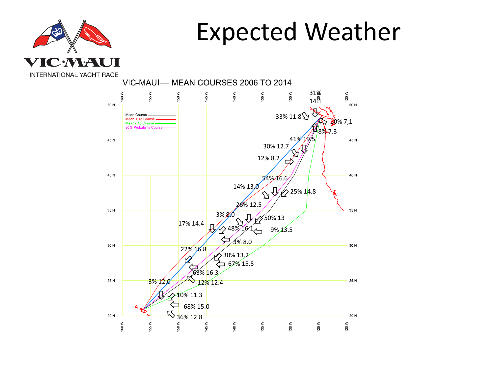

### Expected Weather

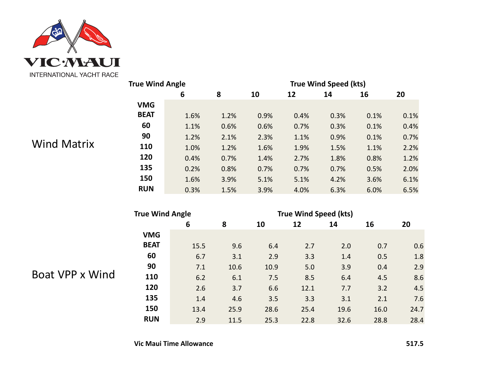

#### Wind Matrix

| <b>True Wind Angle</b> |      |      | <b>True Wind Speed (kts)</b> |      |      |      |      |  |  |
|------------------------|------|------|------------------------------|------|------|------|------|--|--|
|                        | 6    | 8    | 10                           | 12   | 14   | 16   | 20   |  |  |
| <b>VMG</b>             |      |      |                              |      |      |      |      |  |  |
| <b>BEAT</b>            | 1.6% | 1.2% | 0.9%                         | 0.4% | 0.3% | 0.1% | 0.1% |  |  |
| 60                     | 1.1% | 0.6% | 0.6%                         | 0.7% | 0.3% | 0.1% | 0.4% |  |  |
| 90                     | 1.2% | 2.1% | 2.3%                         | 1.1% | 0.9% | 0.1% | 0.7% |  |  |
| 110                    | 1.0% | 1.2% | 1.6%                         | 1.9% | 1.5% | 1.1% | 2.2% |  |  |
| 120                    | 0.4% | 0.7% | 1.4%                         | 2.7% | 1.8% | 0.8% | 1.2% |  |  |
| 135                    | 0.2% | 0.8% | 0.7%                         | 0.7% | 0.7% | 0.5% | 2.0% |  |  |
| 150                    | 1.6% | 3.9% | 5.1%                         | 5.1% | 4.2% | 3.6% | 6.1% |  |  |
| <b>RUN</b>             | 0.3% | 1.5% | 3.9%                         | 4.0% | 6.3% | 6.0% | 6.5% |  |  |

| <b>True Wind Angle</b> |      |      | <b>True Wind Speed (kts)</b> |      |      |      |      |  |  |
|------------------------|------|------|------------------------------|------|------|------|------|--|--|
|                        | 6    | 8    | 10                           | 12   | 14   | 16   | 20   |  |  |
| <b>VMG</b>             |      |      |                              |      |      |      |      |  |  |
| <b>BEAT</b>            | 15.5 | 9.6  | 6.4                          | 2.7  | 2.0  | 0.7  | 0.6  |  |  |
| 60                     | 6.7  | 3.1  | 2.9                          | 3.3  | 1.4  | 0.5  | 1.8  |  |  |
| 90                     | 7.1  | 10.6 | 10.9                         | 5.0  | 3.9  | 0.4  | 2.9  |  |  |
| 110                    | 6.2  | 6.1  | 7.5                          | 8.5  | 6.4  | 4.5  | 8.6  |  |  |
| 120                    | 2.6  | 3.7  | 6.6                          | 12.1 | 7.7  | 3.2  | 4.5  |  |  |
| 135                    | 1.4  | 4.6  | 3.5                          | 3.3  | 3.1  | 2.1  | 7.6  |  |  |
| 150                    | 13.4 | 25.9 | 28.6                         | 25.4 | 19.6 | 16.0 | 24.7 |  |  |
| <b>RUN</b>             | 2.9  | 11.5 | 25.3                         | 22.8 | 32.6 | 28.8 | 28.4 |  |  |

Boat VPP x Wind